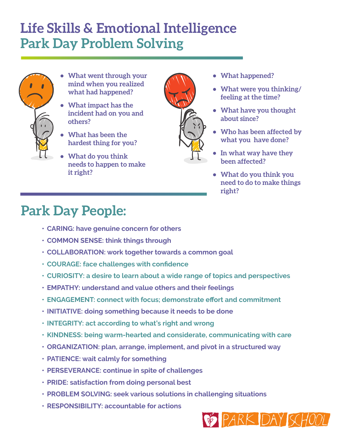## **Life Skills & Emotional Intelligence Park Day Problem Solving**

- 
- **• What went through your mind when you realized what had happened?**
- **• What impact has the incident had on you and others?**
- **• What has been the hardest thing for you?**
- **• What do you think needs to happen to make it right?**



- **• What happened?**
- **• What were you thinking/ feeling at the time?**
- **• What have you thought about since?**
- **• Who has been affected by what you have done?**
- **• In what way have they been affected?**
- **• What do you think you need to do to make things right?**

## **Park Day People:**

- **• CARING: have genuine concern for others**
- **• COMMON SENSE: think things through**
- **• COLLABORATION: work together towards a common goal**
- **• COURAGE: face challenges with confidence**
- **• CURIOSITY: a desire to learn about a wide range of topics and perspectives**
- **• EMPATHY: understand and value others and their feelings**
- **• ENGAGEMENT: connect with focus; demonstrate effort and commitment**
- **• INITIATIVE: doing something because it needs to be done**
- **• INTEGRITY: act according to what's right and wrong**
- **• KINDNESS: being warm-hearted and considerate, communicating with care**
- **• ORGANIZATION: plan, arrange, implement, and pivot in a structured way**
- **• PATIENCE: wait calmly for something**
- **• PERSEVERANCE: continue in spite of challenges**
- **• PRIDE: satisfaction from doing personal best**
- **• PROBLEM SOLVING: seek various solutions in challenging situations**
- **• RESPONSIBILITY: accountable for actions**